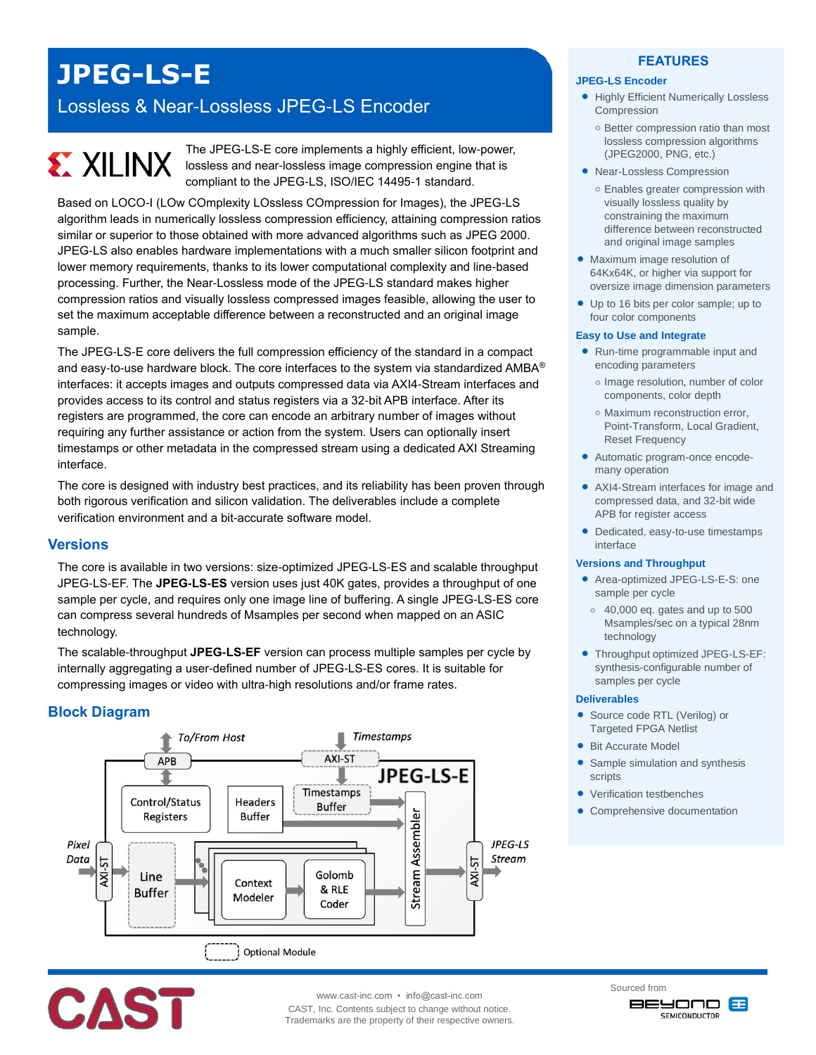## **JPEG-LS-E**

### Lossless & Near-Lossless JPEG-LS Encoder

# **EXILINX**

The JPEG-LS-E core implements a highly efficient, low-power, lossless and near-lossless image compression engine that is compliant to the JPEG-LS, ISO/IEC 14495-1 standard.

Based on LOCO-I (LOw COmplexity LOssless COmpression for Images), the JPEG-LS algorithm leads in numerically lossless compression efficiency, attaining compression ratios similar or superior to those obtained with more advanced algorithms such as JPEG 2000. JPEG-LS also enables hardware implementations with a much smaller silicon footprint and lower memory requirements, thanks to its lower computational complexity and line-based processing. Further, the Near-Lossless mode of the JPEG-LS standard makes higher compression ratios and visually lossless compressed images feasible, allowing the user to set the maximum acceptable difference between a reconstructed and an original image sample.

The JPEG-LS-E core delivers the full compression efficiency of the standard in a compact and easy-to-use hardware block. The core interfaces to the system via standardized AMBA® interfaces: it accepts images and outputs compressed data via AXI4-Stream interfaces and provides access to its control and status registers via a 32-bit APB interface. After its registers are programmed, the core can encode an arbitrary number of images without requiring any further assistance or action from the system. Users can optionally insert timestamps or other metadata in the compressed stream using a dedicated AXI Streaming interface.

The core is designed with industry best practices, and its reliability has been proven through both rigorous verification and silicon validation. The deliverables include a complete verification environment and a bit-accurate software model.

#### **Versions**

The core is available in two versions: size-optimized JPEG-LS-ES and scalable throughput JPEG-LS-EF. The **JPEG-LS-ES** version uses just 40K gates, provides a throughput of one sample per cycle, and requires only one image line of buffering. A single JPEG-LS-ES core can compress several hundreds of Msamples per second when mapped on an ASIC technology.

The scalable-throughput **JPEG-LS-EF** version can process multiple samples per cycle by internally aggregating a user-defined number of JPEG-LS-ES cores. It is suitable for compressing images or video with ultra-high resolutions and/or frame rates.

#### **Block Diagram**



#### **FEATURES**

#### **JPEG-LS Encoder**

- **Highly Efficient Numerically Lossless** Compression
	- **o** Better compression ratio than most lossless compression algorithms (JPEG2000, PNG, etc.)
- Near-Lossless Compression
	- **o** Enables greater compression with visually lossless quality by constraining the maximum difference between reconstructed and original image samples
- Maximum image resolution of 64Kx64K, or higher via support for oversize image dimension parameters
- Up to 16 bits per color sample; up to four color components

#### **Easy to Use and Integrate**

- Run-time programmable input and encoding parameters
	- **o** Image resolution, number of color components, color depth
	- **o** Maximum reconstruction error, Point-Transform, Local Gradient, Reset Frequency
- Automatic program-once encodemany operation
- AXI4-Stream interfaces for image and compressed data, and 32-bit wide APB for register access
- Dedicated, easy-to-use timestamps interface

#### **Versions and Throughput**

- Area-optimized JPEG-LS-E-S: one sample per cycle
- **o** 40,000 eq. gates and up to 500 Msamples/sec on a typical 28nm technology
- Throughput optimized JPEG-LS-EF: synthesis-configurable number of samples per cycle

#### **Deliverables**

- Source code RTL (Verilog) or Targeted FPGA Netlist
- Bit Accurate Model
- Sample simulation and synthesis scripts
- Verification testbenches
- Comprehensive documentation



www.cast-inc.com • info@cast-inc.com

CAST, Inc. Contents subject to change without notice. Trademarks are the property of their respective owners. Sourced from **BEYOND B SEMICONDUCTOR**